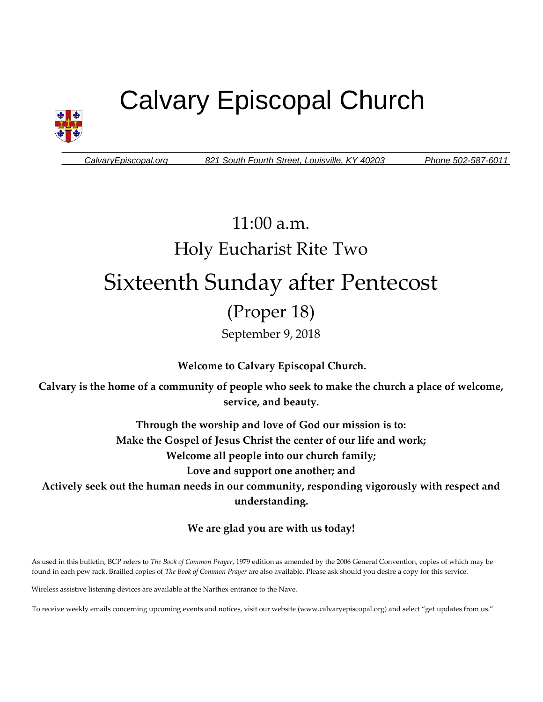# Calvary Episcopal Church



*CalvaryEpiscopal.org 821 South Fourth Street, Louisville, KY 40203 Phone 502-587-6011*

## 11:00 a.m. Holy Eucharist Rite Two Sixteenth Sunday after Pentecost (Proper 18) September 9, 2018

**Welcome to Calvary Episcopal Church.**

**Calvary is the home of a community of people who seek to make the church a place of welcome, service, and beauty.**

> **Through the worship and love of God our mission is to: Make the Gospel of Jesus Christ the center of our life and work; Welcome all people into our church family; Love and support one another; and**

**Actively seek out the human needs in our community, responding vigorously with respect and understanding.**

**We are glad you are with us today!** 

As used in this bulletin, BCP refers to *The Book of Common Prayer*, 1979 edition as amended by the 2006 General Convention, copies of which may be found in each pew rack. Brailled copies of *The Book of Common Prayer* are also available. Please ask should you desire a copy for this service.

Wireless assistive listening devices are available at the Narthex entrance to the Nave.

To receive weekly emails concerning upcoming events and notices, visit our website (www.calvaryepiscopal.org) and select "get updates from us."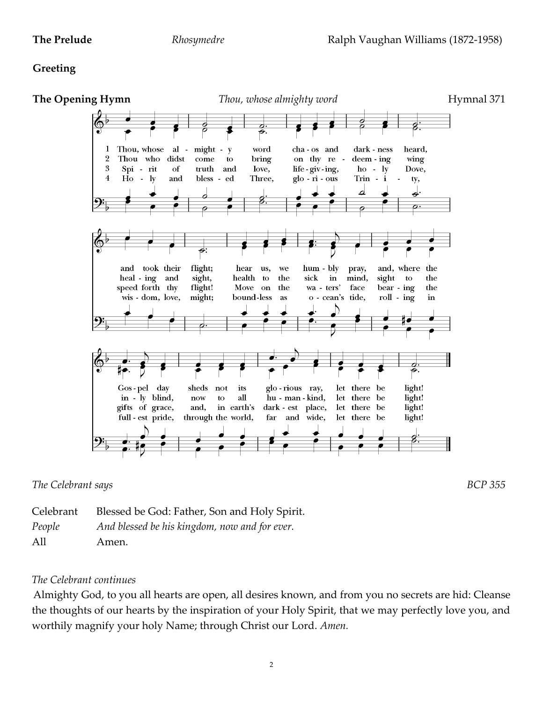### **Greeting**



*The Celebrant says BCP 355*

| Celebrant | Blessed be God: Father, Son and Holy Spirit.  |
|-----------|-----------------------------------------------|
| People    | And blessed be his kingdom, now and for ever. |
| All       | Amen.                                         |

### *The Celebrant continues*

Almighty God, to you all hearts are open, all desires known, and from you no secrets are hid: Cleanse the thoughts of our hearts by the inspiration of your Holy Spirit, that we may perfectly love you, and worthily magnify your holy Name; through Christ our Lord. *Amen.*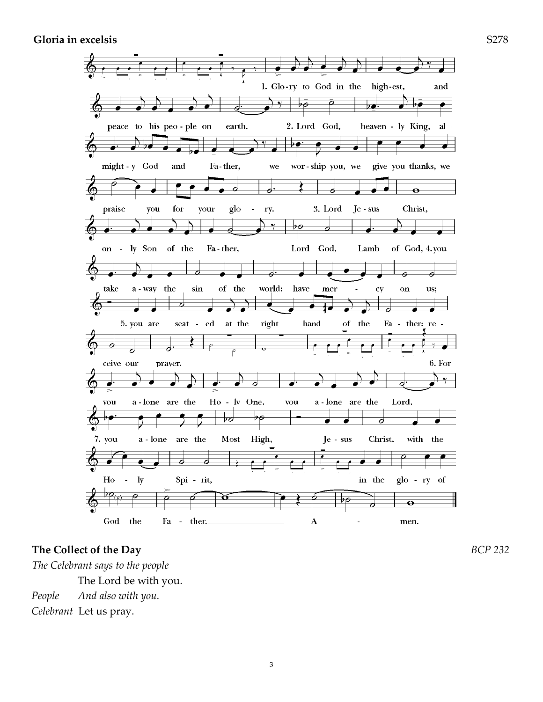**Gloria in excelsis** S278



#### **The Collect of the Day** *BCP 232*

*The Celebrant says to the people*  The Lord be with you. *People And also with you. Celebrant* Let us pray.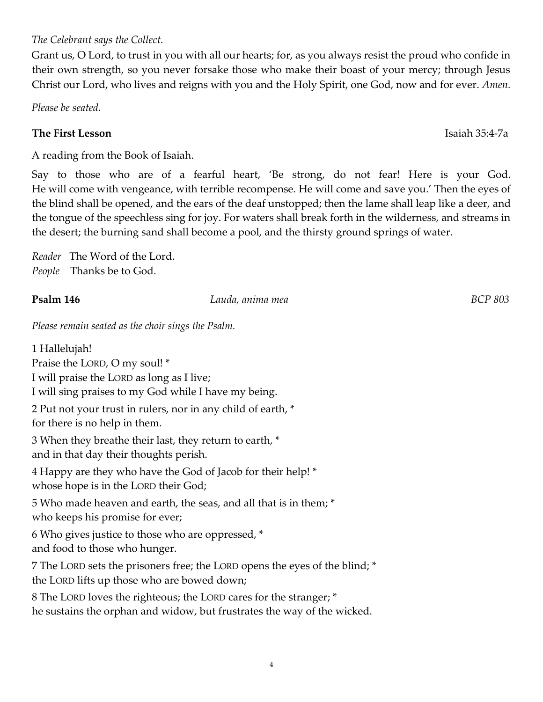4

### *The Celebrant says the Collect.*

Grant us, O Lord, to trust in you with all our hearts; for, as you always resist the proud who confide in their own strength, so you never forsake those who make their boast of your mercy; through Jesus Christ our Lord, who lives and reigns with you and the Holy Spirit, one God, now and for ever. *Amen.*

*Please be seated.* 

### **The First Lesson** Isaiah 35:4-7a

A reading from the Book of Isaiah.

Say to those who are of a fearful heart, 'Be strong, do not fear! Here is your God. He will come with vengeance, with terrible recompense. He will come and save you.' Then the eyes of the blind shall be opened, and the ears of the deaf unstopped; then the lame shall leap like a deer, and the tongue of the speechless sing for joy. For waters shall break forth in the wilderness, and streams in the desert; the burning sand shall become a pool, and the thirsty ground springs of water.

*Reader* The Word of the Lord. *People* Thanks be to God.

#### **Psalm 146** *Lauda, anima mea BCP 803*

*Please remain seated as the choir sings the Psalm.*

1 Hallelujah! Praise the LORD, O my soul! \* I will praise the LORD as long as I live; I will sing praises to my God while I have my being. 2 Put not your trust in rulers, nor in any child of earth, \* for there is no help in them. 3 When they breathe their last, they return to earth, \* and in that day their thoughts perish. 4 Happy are they who have the God of Jacob for their help! \* whose hope is in the LORD their God; 5 Who made heaven and earth, the seas, and all that is in them; \* who keeps his promise for ever; 6 Who gives justice to those who are oppressed, \* and food to those who hunger. 7 The LORD sets the prisoners free; the LORD opens the eyes of the blind; \* the LORD lifts up those who are bowed down; 8 The LORD loves the righteous; the LORD cares for the stranger; \*

he sustains the orphan and widow, but frustrates the way of the wicked.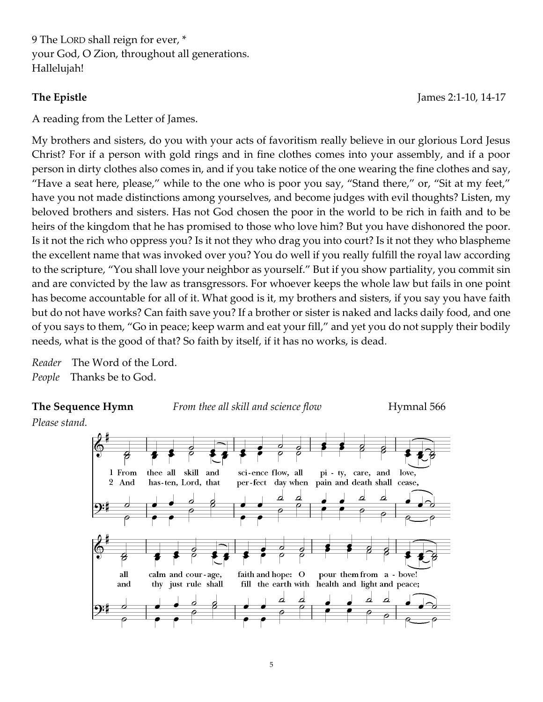9 The LORD shall reign for ever, \* your God, O Zion, throughout all generations. Hallelujah!

**The Epistle** James 2:1-10, 14-17

A reading from the Letter of James.

My brothers and sisters, do you with your acts of favoritism really believe in our glorious Lord Jesus Christ? For if a person with gold rings and in fine clothes comes into your assembly, and if a poor person in dirty clothes also comes in, and if you take notice of the one wearing the fine clothes and say, "Have a seat here, please," while to the one who is poor you say, "Stand there," or, "Sit at my feet," have you not made distinctions among yourselves, and become judges with evil thoughts? Listen, my beloved brothers and sisters. Has not God chosen the poor in the world to be rich in faith and to be heirs of the kingdom that he has promised to those who love him? But you have dishonored the poor. Is it not the rich who oppress you? Is it not they who drag you into court? Is it not they who blaspheme the excellent name that was invoked over you? You do well if you really fulfill the royal law according to the scripture, "You shall love your neighbor as yourself." But if you show partiality, you commit sin and are convicted by the law as transgressors. For whoever keeps the whole law but fails in one point has become accountable for all of it. What good is it, my brothers and sisters, if you say you have faith but do not have works? Can faith save you? If a brother or sister is naked and lacks daily food, and one of you says to them, "Go in peace; keep warm and eat your fill," and yet you do not supply their bodily needs, what is the good of that? So faith by itself, if it has no works, is dead.

*Reader* The Word of the Lord. *People* Thanks be to God.

**The Sequence Hymn** *From thee all skill and science flow*Hymnal 566

*Please stand.* 

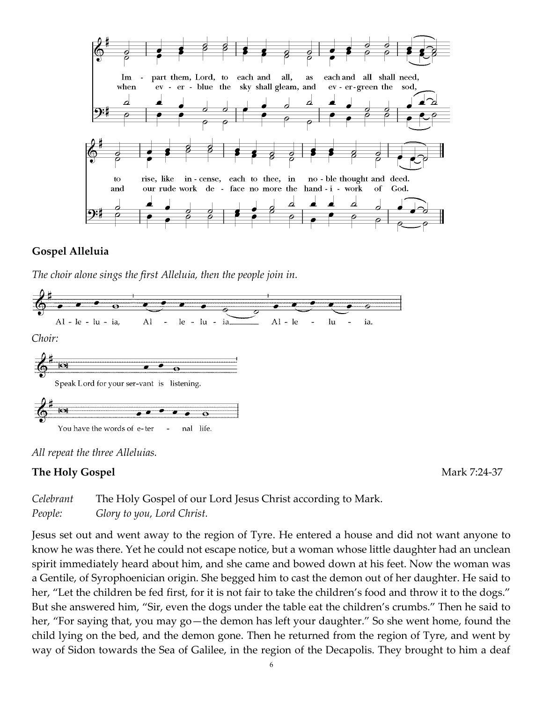

#### **Gospel Alleluia**

*The choir alone sings the first Alleluia, then the people join in.* 





#### **The Holy Gospel 224-37**

| Celebrant | The Holy Gospel of our Lord Jesus Christ according to Mark. |
|-----------|-------------------------------------------------------------|
| People:   | Glory to you, Lord Christ.                                  |

Jesus set out and went away to the region of Tyre. He entered a house and did not want anyone to know he was there. Yet he could not escape notice, but a woman whose little daughter had an unclean spirit immediately heard about him, and she came and bowed down at his feet. Now the woman was a Gentile, of Syrophoenician origin. She begged him to cast the demon out of her daughter. He said to her, "Let the children be fed first, for it is not fair to take the children's food and throw it to the dogs." But she answered him, "Sir, even the dogs under the table eat the children's crumbs." Then he said to her, "For saying that, you may go—the demon has left your daughter." So she went home, found the child lying on the bed, and the demon gone. Then he returned from the region of Tyre, and went by way of Sidon towards the Sea of Galilee, in the region of the Decapolis. They brought to him a deaf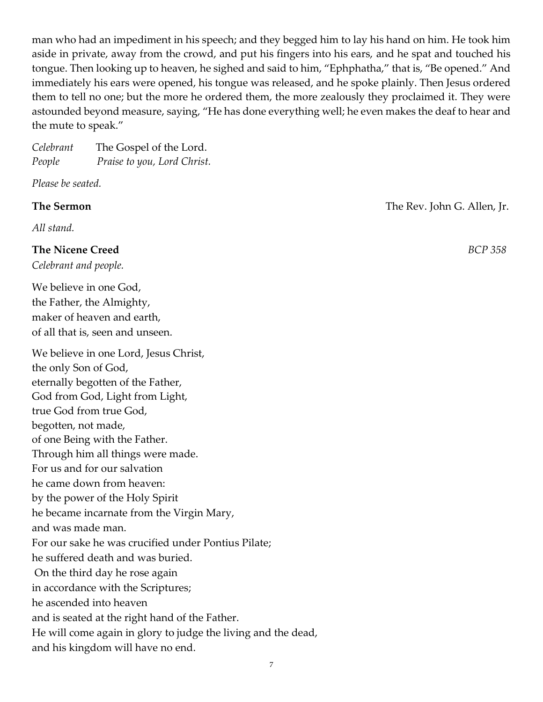man who had an impediment in his speech; and they begged him to lay his hand on him. He took him aside in private, away from the crowd, and put his fingers into his ears, and he spat and touched his tongue. Then looking up to heaven, he sighed and said to him, "Ephphatha," that is, "Be opened." And immediately his ears were opened, his tongue was released, and he spoke plainly. Then Jesus ordered them to tell no one; but the more he ordered them, the more zealously they proclaimed it. They were astounded beyond measure, saying, "He has done everything well; he even makes the deaf to hear and the mute to speak."

| Celebrant | The Gospel of the Lord.     |
|-----------|-----------------------------|
| People    | Praise to you, Lord Christ. |

*Please be seated.* 

*All stand.* 

#### **The Nicene Creed** *BCP 358*

*Celebrant and people.* 

We believe in one God, the Father, the Almighty, maker of heaven and earth, of all that is, seen and unseen.

We believe in one Lord, Jesus Christ, the only Son of God, eternally begotten of the Father, God from God, Light from Light, true God from true God, begotten, not made, of one Being with the Father. Through him all things were made. For us and for our salvation he came down from heaven: by the power of the Holy Spirit he became incarnate from the Virgin Mary, and was made man. For our sake he was crucified under Pontius Pilate; he suffered death and was buried. On the third day he rose again in accordance with the Scriptures; he ascended into heaven and is seated at the right hand of the Father. He will come again in glory to judge the living and the dead, and his kingdom will have no end.

**The Sermon The Rev. John G. Allen, Jr.**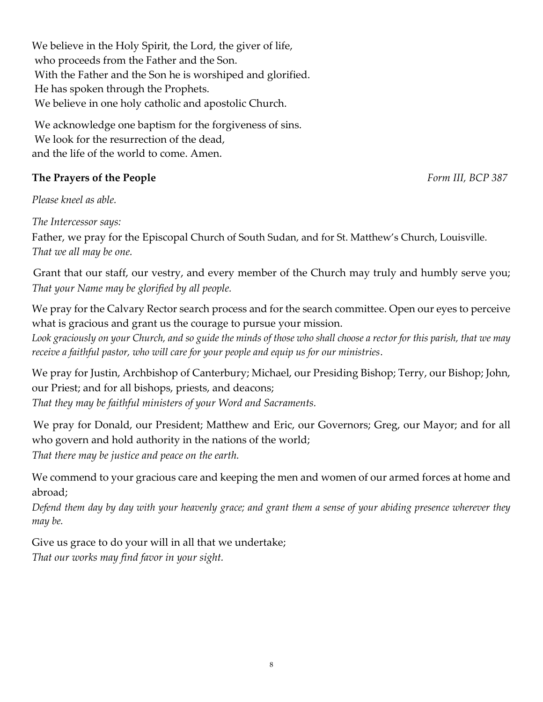We believe in the Holy Spirit, the Lord, the giver of life, who proceeds from the Father and the Son. With the Father and the Son he is worshiped and glorified. He has spoken through the Prophets. We believe in one holy catholic and apostolic Church.

We acknowledge one baptism for the forgiveness of sins. We look for the resurrection of the dead, and the life of the world to come. Amen.

### **The Prayers of the People** *Form III, BCP 387*

*Please kneel as able.* 

*The Intercessor says:* 

Father, we pray for the Episcopal Church of South Sudan, and for St. Matthew's Church, Louisville. *That we all may be one.* 

Grant that our staff, our vestry, and every member of the Church may truly and humbly serve you; *That your Name may be glorified by all people.* 

We pray for the Calvary Rector search process and for the search committee. Open our eyes to perceive what is gracious and grant us the courage to pursue your mission.

*Look graciously on your Church, and so guide the minds of those who shall choose a rector for this parish, that we may receive a faithful pastor, who will care for your people and equip us for our ministries*.

We pray for Justin, Archbishop of Canterbury; Michael, our Presiding Bishop; Terry, our Bishop; John, our Priest; and for all bishops, priests, and deacons; *That they may be faithful ministers of your Word and Sacraments.*

We pray for Donald, our President; Matthew and Eric, our Governors; Greg, our Mayor; and for all who govern and hold authority in the nations of the world;

*That there may be justice and peace on the earth.*

We commend to your gracious care and keeping the men and women of our armed forces at home and abroad;

*Defend them day by day with your heavenly grace; and grant them a sense of your abiding presence wherever they may be.*

Give us grace to do your will in all that we undertake; *That our works may find favor in your sight.*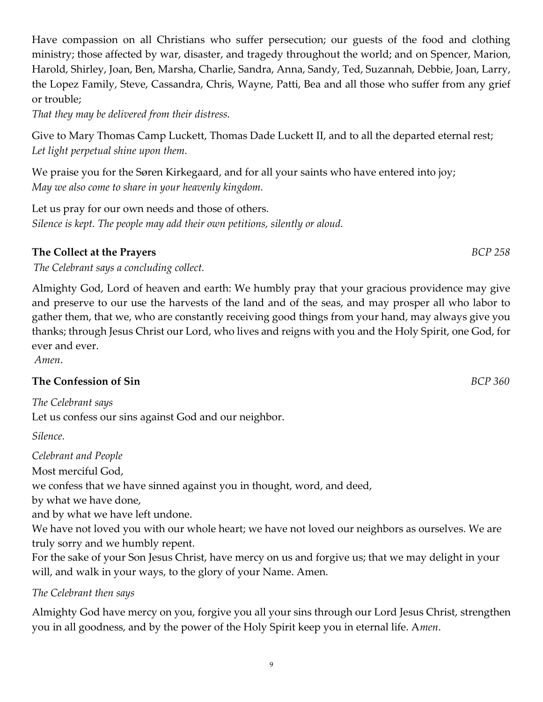Have compassion on all Christians who suffer persecution; our guests of the food and clothing ministry; those affected by war, disaster, and tragedy throughout the world; and on Spencer, Marion, Harold, Shirley, Joan, Ben, Marsha, Charlie, Sandra, Anna, Sandy, Ted, Suzannah, Debbie, Joan, Larry, the Lopez Family, Steve, Cassandra, Chris, Wayne, Patti, Bea and all those who suffer from any grief or trouble;

*That they may be delivered from their distress.*

Give to Mary Thomas Camp Luckett, Thomas Dade Luckett II, and to all the departed eternal rest; *Let light perpetual shine upon them.*

We praise you for the Søren Kirkegaard, and for all your saints who have entered into joy; *May we also come to share in your heavenly kingdom.*

Let us pray for our own needs and those of others. *Silence is kept. The people may add their own petitions, silently or aloud.* 

### **The Collect at the Prayers** *BCP 258*

*The Celebrant says a concluding collect.*

Almighty God, Lord of heaven and earth: We humbly pray that your gracious providence may give and preserve to our use the harvests of the land and of the seas, and may prosper all who labor to gather them, that we, who are constantly receiving good things from your hand, may always give you thanks; through Jesus Christ our Lord, who lives and reigns with you and the Holy Spirit, one God, for ever and ever.

*Amen*.

### **The Confession of Sin** *BCP 360*

*The Celebrant says*  Let us confess our sins against God and our neighbor.

*Silence.* 

*Celebrant and People* 

Most merciful God,

we confess that we have sinned against you in thought, word, and deed,

by what we have done,

and by what we have left undone.

We have not loved you with our whole heart; we have not loved our neighbors as ourselves. We are truly sorry and we humbly repent.

For the sake of your Son Jesus Christ, have mercy on us and forgive us; that we may delight in your will, and walk in your ways, to the glory of your Name. Amen.

### *The Celebrant then says*

Almighty God have mercy on you, forgive you all your sins through our Lord Jesus Christ, strengthen you in all goodness, and by the power of the Holy Spirit keep you in eternal life. A*men*.

9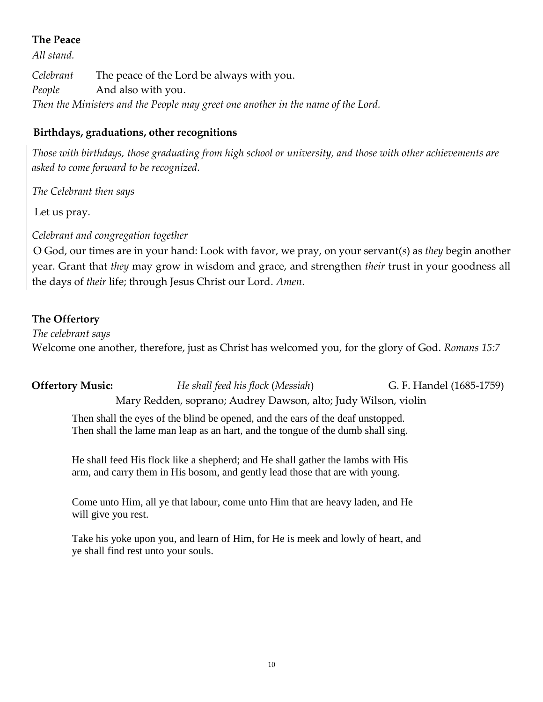### **The Peace**

*All stand.* 

*Celebrant* The peace of the Lord be always with you. *People* And also with you. *Then the Ministers and the People may greet one another in the name of the Lord.* 

### **Birthdays, graduations, other recognitions**

*Those with birthdays, those graduating from high school or university, and those with other achievements are asked to come forward to be recognized.* 

*The Celebrant then says*

Let us pray.

*Celebrant and congregation together* 

O God, our times are in your hand: Look with favor, we pray, on your servant(*s*) as *they* begin another year. Grant that *they* may grow in wisdom and grace, and strengthen *their* trust in your goodness all the days of *their* life; through Jesus Christ our Lord. *Amen*.

### **The Offertory**

*The celebrant says* 

Welcome one another, therefore, just as Christ has welcomed you, for the glory of God. *Romans 15:7* 

**Offertory Music:** *He shall feed his flock* (*Messiah*) G. F. Handel (1685-1759) Mary Redden, soprano; Audrey Dawson, alto; Judy Wilson, violin

Then shall the eyes of the blind be opened, and the ears of the deaf unstopped. Then shall the lame man leap as an hart, and the tongue of the dumb shall sing.

He shall feed His flock like a shepherd; and He shall gather the lambs with His arm, and carry them in His bosom, and gently lead those that are with young.

Come unto Him, all ye that labour, come unto Him that are heavy laden, and He will give you rest.

Take his yoke upon you, and learn of Him, for He is meek and lowly of heart, and ye shall find rest unto your souls.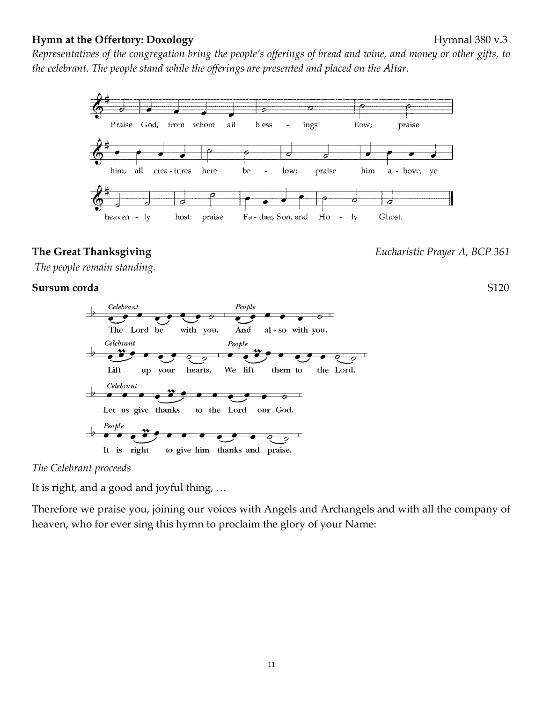#### **Hymn at the Offertory: Doxology Hymnal 380 v.3**

11

*Representatives of the congregation bring the people's offerings of bread and wine, and money or other gifts, to the celebrant. The people stand while the offerings are presented and placed on the Altar.*



*The people remain standing.* 

#### **Sursum corda**S120



*The Celebrant proceeds* 

It is right, and a good and joyful thing, …

Therefore we praise you, joining our voices with Angels and Archangels and with all the company of heaven, who for ever sing this hymn to proclaim the glory of your Name:

**The Great Thanksgiving** *Eucharistic Prayer A, BCP 361*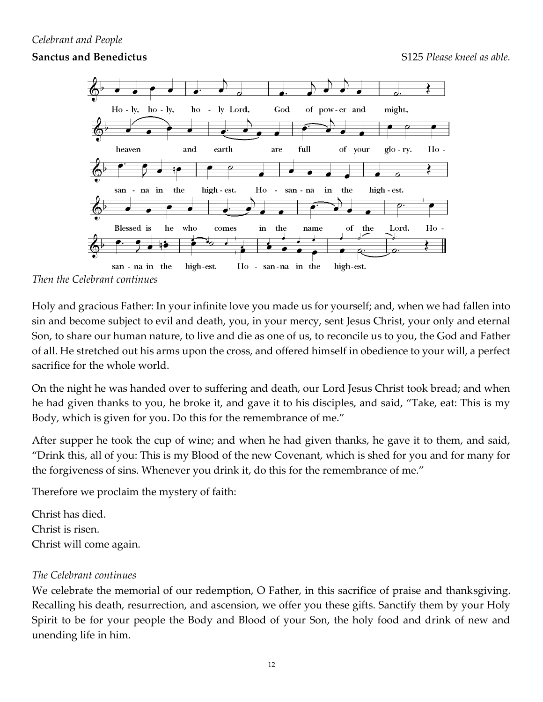#### *Celebrant and People*

#### **Sanctus and Benedictus S125** *Please kneel as able.* **S125** *Please kneel as able.*



*Then the Celebrant continues* 

Holy and gracious Father: In your infinite love you made us for yourself; and, when we had fallen into sin and become subject to evil and death, you, in your mercy, sent Jesus Christ, your only and eternal Son, to share our human nature, to live and die as one of us, to reconcile us to you, the God and Father of all. He stretched out his arms upon the cross, and offered himself in obedience to your will, a perfect sacrifice for the whole world.

On the night he was handed over to suffering and death, our Lord Jesus Christ took bread; and when he had given thanks to you, he broke it, and gave it to his disciples, and said, "Take, eat: This is my Body, which is given for you. Do this for the remembrance of me."

After supper he took the cup of wine; and when he had given thanks, he gave it to them, and said, "Drink this, all of you: This is my Blood of the new Covenant, which is shed for you and for many for the forgiveness of sins. Whenever you drink it, do this for the remembrance of me."

Therefore we proclaim the mystery of faith:

Christ has died. Christ is risen. Christ will come again.

#### *The Celebrant continues*

We celebrate the memorial of our redemption, O Father, in this sacrifice of praise and thanksgiving. Recalling his death, resurrection, and ascension, we offer you these gifts. Sanctify them by your Holy Spirit to be for your people the Body and Blood of your Son, the holy food and drink of new and unending life in him.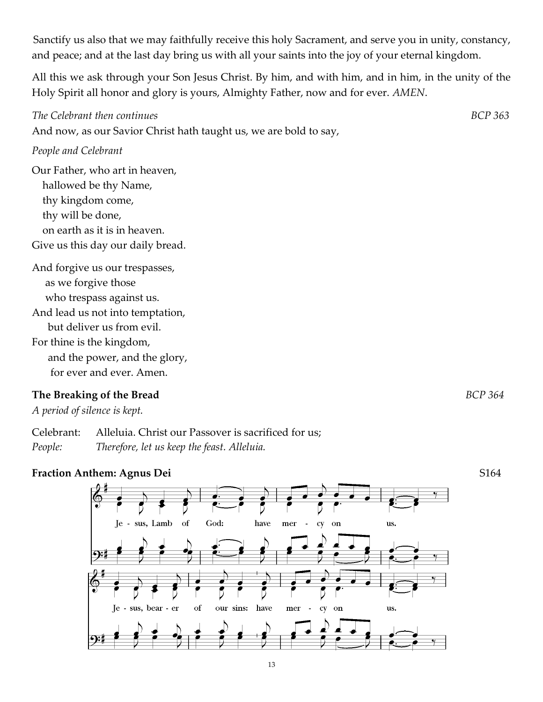Sanctify us also that we may faithfully receive this holy Sacrament, and serve you in unity, constancy, and peace; and at the last day bring us with all your saints into the joy of your eternal kingdom.

All this we ask through your Son Jesus Christ. By him, and with him, and in him, in the unity of the Holy Spirit all honor and glory is yours, Almighty Father, now and for ever. *AMEN*.

And now, as our Savior Christ hath taught us, we are bold to say,

#### *People and Celebrant*

Our Father, who art in heaven, hallowed be thy Name, thy kingdom come, thy will be done, on earth as it is in heaven. Give us this day our daily bread.

And forgive us our trespasses, as we forgive those who trespass against us. And lead us not into temptation, but deliver us from evil. For thine is the kingdom, and the power, and the glory, for ever and ever. Amen.

### **The Breaking of the Bread** *BCP 364*

*A period of silence is kept.* 

Celebrant: Alleluia. Christ our Passover is sacrificed for us; *People: Therefore, let us keep the feast. Alleluia.*



### **Fraction Anthem: Agnus Dei** S164

*The Celebrant then continues BCP 363*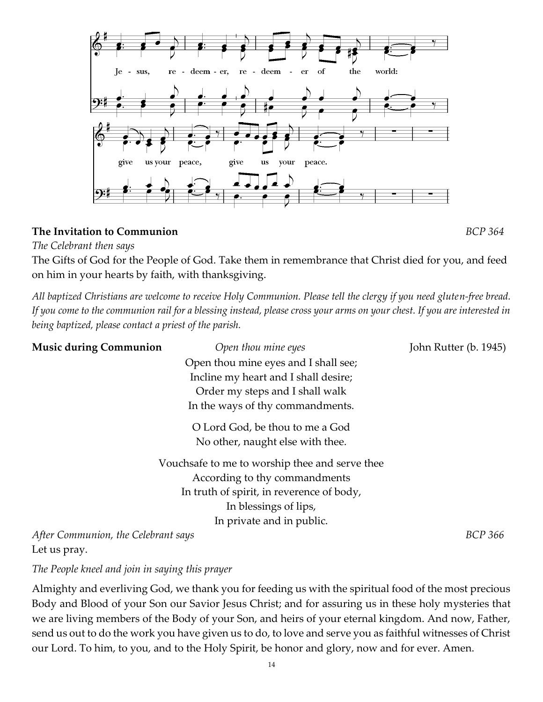

#### **The Invitation to Communion** *BCP 364*

*The Celebrant then says* 

The Gifts of God for the People of God. Take them in remembrance that Christ died for you, and feed on him in your hearts by faith, with thanksgiving.

*All baptized Christians are welcome to receive Holy Communion. Please tell the clergy if you need gluten-free bread. If you come to the communion rail for a blessing instead, please cross your arms on your chest. If you are interested in being baptized, please contact a priest of the parish.* 

| <b>Music during Communion</b>       | Open thou mine eyes                            | John Rutter (b. 1945) |
|-------------------------------------|------------------------------------------------|-----------------------|
|                                     | Open thou mine eyes and I shall see;           |                       |
|                                     | Incline my heart and I shall desire;           |                       |
|                                     | Order my steps and I shall walk                |                       |
|                                     | In the ways of thy commandments.               |                       |
|                                     | O Lord God, be thou to me a God                |                       |
|                                     | No other, naught else with thee.               |                       |
|                                     | Vouchsafe to me to worship thee and serve thee |                       |
|                                     | According to thy commandments                  |                       |
|                                     | In truth of spirit, in reverence of body,      |                       |
|                                     | In blessings of lips,                          |                       |
|                                     | In private and in public.                      |                       |
| After Communion, the Celebrant says | BCP 366                                        |                       |

Let us pray.

*The People kneel and join in saying this prayer* 

Almighty and everliving God, we thank you for feeding us with the spiritual food of the most precious Body and Blood of your Son our Savior Jesus Christ; and for assuring us in these holy mysteries that we are living members of the Body of your Son, and heirs of your eternal kingdom. And now, Father, send us out to do the work you have given us to do, to love and serve you as faithful witnesses of Christ our Lord. To him, to you, and to the Holy Spirit, be honor and glory, now and for ever. Amen.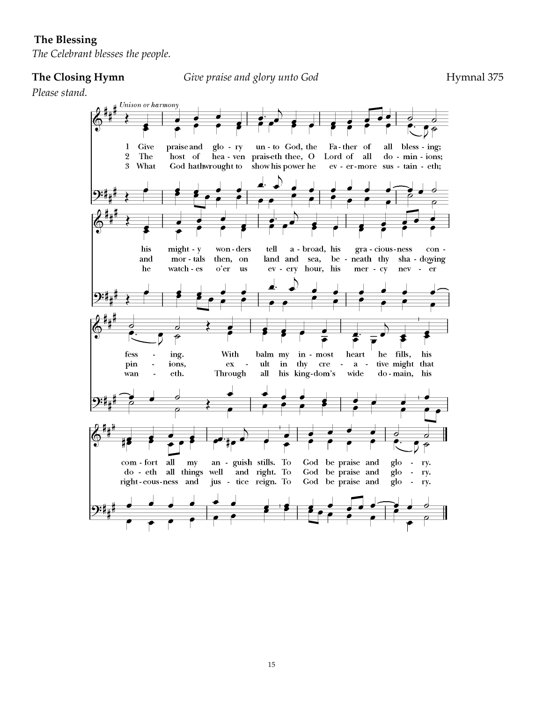#### **The Blessing**

*The Celebrant blesses the people.* 

**The Closing Hymn** *Give praise and glory unto God* Hymnal 375

*Please stand.*